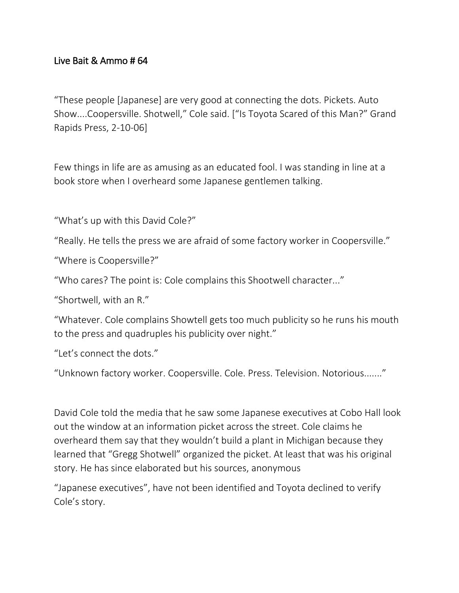## Live Bait & Ammo # 64

"These people [Japanese] are very good at connecting the dots. Pickets. Auto Show....Coopersville. Shotwell," Cole said. ["Is Toyota Scared of this Man?" Grand Rapids Press, 2-10-06]

Few things in life are as amusing as an educated fool. I was standing in line at a book store when I overheard some Japanese gentlemen talking.

"What's up with this David Cole?"

"Really. He tells the press we are afraid of some factory worker in Coopersville."

"Where is Coopersville?"

"Who cares? The point is: Cole complains this Shootwell character..."

"Shortwell, with an R."

"Whatever. Cole complains Showtell gets too much publicity so he runs his mouth to the press and quadruples his publicity over night."

"Let's connect the dots."

"Unknown factory worker. Coopersville. Cole. Press. Television. Notorious......."

David Cole told the media that he saw some Japanese executives at Cobo Hall look out the window at an information picket across the street. Cole claims he overheard them say that they wouldn't build a plant in Michigan because they learned that "Gregg Shotwell" organized the picket. At least that was his original story. He has since elaborated but his sources, anonymous

"Japanese executives", have not been identified and Toyota declined to verify Cole's story.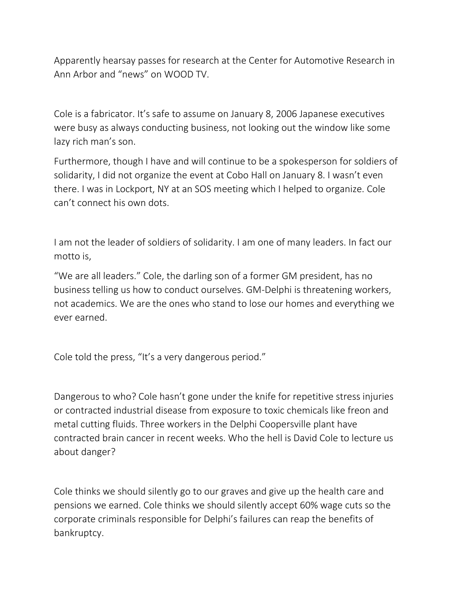Apparently hearsay passes for research at the Center for Automotive Research in Ann Arbor and "news" on WOOD TV.

Cole is a fabricator. It's safe to assume on January 8, 2006 Japanese executives were busy as always conducting business, not looking out the window like some lazy rich man's son.

Furthermore, though I have and will continue to be a spokesperson for soldiers of solidarity, I did not organize the event at Cobo Hall on January 8. I wasn't even there. I was in Lockport, NY at an SOS meeting which I helped to organize. Cole can't connect his own dots.

I am not the leader of soldiers of solidarity. I am one of many leaders. In fact our motto is,

"We are all leaders." Cole, the darling son of a former GM president, has no business telling us how to conduct ourselves. GM-Delphi is threatening workers, not academics. We are the ones who stand to lose our homes and everything we ever earned.

Cole told the press, "It's a very dangerous period."

Dangerous to who? Cole hasn't gone under the knife for repetitive stress injuries or contracted industrial disease from exposure to toxic chemicals like freon and metal cutting fluids. Three workers in the Delphi Coopersville plant have contracted brain cancer in recent weeks. Who the hell is David Cole to lecture us about danger?

Cole thinks we should silently go to our graves and give up the health care and pensions we earned. Cole thinks we should silently accept 60% wage cuts so the corporate criminals responsible for Delphi's failures can reap the benefits of bankruptcy.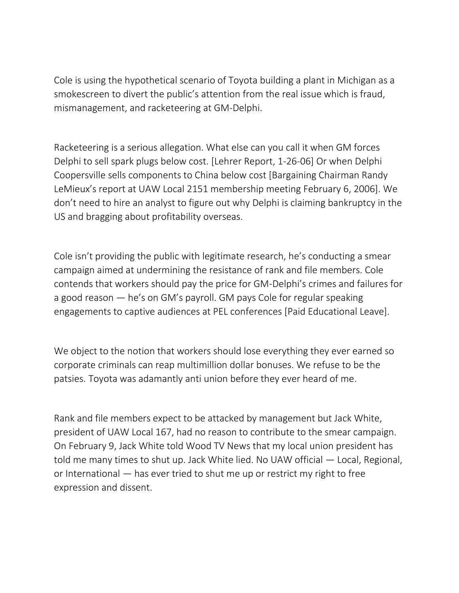Cole is using the hypothetical scenario of Toyota building a plant in Michigan as a smokescreen to divert the public's attention from the real issue which is fraud, mismanagement, and racketeering at GM-Delphi.

Racketeering is a serious allegation. What else can you call it when GM forces Delphi to sell spark plugs below cost. [Lehrer Report, 1-26-06] Or when Delphi Coopersville sells components to China below cost [Bargaining Chairman Randy LeMieux's report at UAW Local 2151 membership meeting February 6, 2006]. We don't need to hire an analyst to figure out why Delphi is claiming bankruptcy in the US and bragging about profitability overseas.

Cole isn't providing the public with legitimate research, he's conducting a smear campaign aimed at undermining the resistance of rank and file members. Cole contends that workers should pay the price for GM-Delphi's crimes and failures for a good reason — he's on GM's payroll. GM pays Cole for regular speaking engagements to captive audiences at PEL conferences [Paid Educational Leave].

We object to the notion that workers should lose everything they ever earned so corporate criminals can reap multimillion dollar bonuses. We refuse to be the patsies. Toyota was adamantly anti union before they ever heard of me.

Rank and file members expect to be attacked by management but Jack White, president of UAW Local 167, had no reason to contribute to the smear campaign. On February 9, Jack White told Wood TV News that my local union president has told me many times to shut up. Jack White lied. No UAW official — Local, Regional, or International — has ever tried to shut me up or restrict my right to free expression and dissent.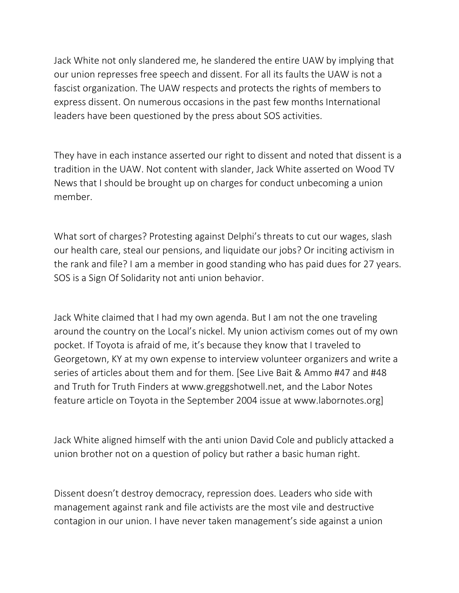Jack White not only slandered me, he slandered the entire UAW by implying that our union represses free speech and dissent. For all its faults the UAW is not a fascist organization. The UAW respects and protects the rights of members to express dissent. On numerous occasions in the past few months International leaders have been questioned by the press about SOS activities.

They have in each instance asserted our right to dissent and noted that dissent is a tradition in the UAW. Not content with slander, Jack White asserted on Wood TV News that I should be brought up on charges for conduct unbecoming a union member.

What sort of charges? Protesting against Delphi's threats to cut our wages, slash our health care, steal our pensions, and liquidate our jobs? Or inciting activism in the rank and file? I am a member in good standing who has paid dues for 27 years. SOS is a Sign Of Solidarity not anti union behavior.

Jack White claimed that I had my own agenda. But I am not the one traveling around the country on the Local's nickel. My union activism comes out of my own pocket. If Toyota is afraid of me, it's because they know that I traveled to Georgetown, KY at my own expense to interview volunteer organizers and write a series of articles about them and for them. [See Live Bait & Ammo #47 and #48 and Truth for Truth Finders at www.greggshotwell.net, and the Labor Notes feature article on Toyota in the September 2004 issue at www.labornotes.org]

Jack White aligned himself with the anti union David Cole and publicly attacked a union brother not on a question of policy but rather a basic human right.

Dissent doesn't destroy democracy, repression does. Leaders who side with management against rank and file activists are the most vile and destructive contagion in our union. I have never taken management's side against a union